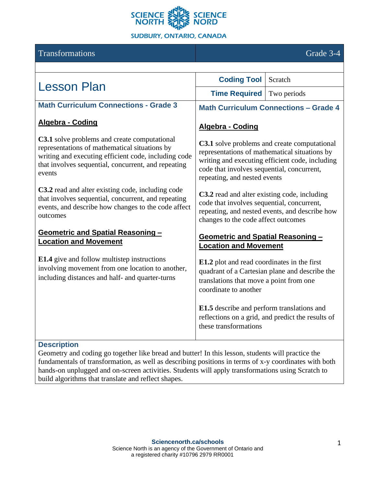

#### Transformations Grade 3-4 Lesson Plan **Coding Tool** Scratch **Time Required** Two periods **Math Curriculum Connections - Grade 3 Algebra - Coding C3.1** solve problems and create computational representations of mathematical situations by writing and executing efficient code, including code that involves sequential, concurrent, and repeating events **C3.2** read and alter existing code, including code that involves sequential, concurrent, and repeating events, and describe how changes to the code affect outcomes **Geometric and Spatial Reasoning – Location and Movement E1.4** give and follow multistep instructions involving movement from one location to another, including distances and half- and quarter-turns **Math Curriculum Connections** – **Grade 4 Algebra - Coding C3.1** solve problems and create computational representations of mathematical situations by writing and executing efficient code, including code that involves sequential, concurrent, repeating, and nested events **C3.2** read and alter existing code, including code that involves sequential, concurrent, repeating, and nested events, and describe how changes to the code affect outcomes **Geometric and Spatial Reasoning – Location and Movement E1.2** plot and read coordinates in the first quadrant of a Cartesian plane and describe the translations that move a point from one coordinate to another **E1.5** describe and perform translations and reflections on a grid, and predict the results of these transformations

#### **Description**

Geometry and coding go together like bread and butter! In this lesson, students will practice the fundamentals of transformation, as well as describing positions in terms of x-y coordinates with both hands-on unplugged and on-screen activities. Students will apply transformations using Scratch to build algorithms that translate and reflect shapes.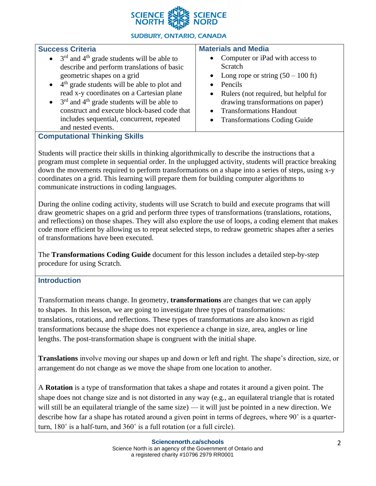

### **Success Criteria**

- $3<sup>rd</sup>$  and 4<sup>th</sup> grade students will be able to describe and perform translations of basic geometric shapes on a grid
- $\bullet$  4<sup>th</sup> grade students will be able to plot and read x-y coordinates on a Cartesian plane
- $\bullet$  3<sup>rd</sup> and 4<sup>th</sup> grade students will be able to construct and execute block-based code that includes sequential, concurrent, repeated and nested events.

### **Materials and Media**

- Computer or iPad with access to Scratch
- Long rope or string  $(50 100$  ft)
- Pencils
- Rulers (not required, but helpful for drawing transformations on paper)
- Transformations Handout
- Transformations Coding Guide

## **Computational Thinking Skills**

Students will practice their skills in thinking algorithmically to describe the instructions that a program must complete in sequential order. In the unplugged activity, students will practice breaking down the movements required to perform transformations on a shape into a series of steps, using x-y coordinates on a grid. This learning will prepare them for building computer algorithms to communicate instructions in coding languages.

During the online coding activity, students will use Scratch to build and execute programs that will draw geometric shapes on a grid and perform three types of transformations (translations, rotations, and reflections) on those shapes. They will also explore the use of loops, a coding element that makes code more efficient by allowing us to repeat selected steps, to redraw geometric shapes after a series of transformations have been executed.

The **Transformations Coding Guide** document for this lesson includes a detailed step-by-step procedure for using Scratch.

### **Introduction**

Transformation means change. In geometry, **transformations** are changes that we can apply to shapes. In this lesson, we are going to investigate three types of transformations: translations, rotations, and reflections. These types of transformations are also known as rigid transformations because the shape does not experience a change in size, area, angles or line lengths. The post-transformation shape is congruent with the initial shape.

**Translations** involve moving our shapes up and down or left and right. The shape's direction, size, or arrangement do not change as we move the shape from one location to another.

A **Rotation** is a type of transformation that takes a shape and rotates it around a given point. The shape does not change size and is not distorted in any way (e.g., an equilateral triangle that is rotated will still be an equilateral triangle of the same size) — it will just be pointed in a new direction. We describe how far a shape has rotated around a given point in terms of degrees, where 90˚ is a quarterturn, 180˚ is a half-turn, and 360˚ is a full rotation (or a full circle).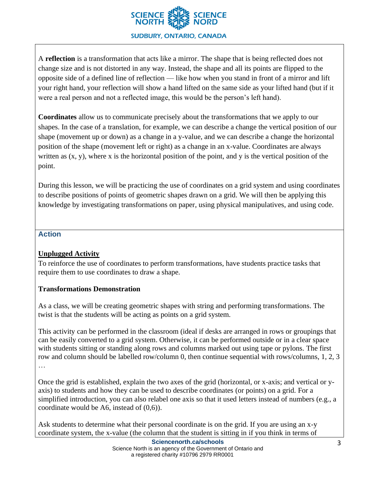

A **reflection** is a transformation that acts like a mirror. The shape that is being reflected does not change size and is not distorted in any way. Instead, the shape and all its points are flipped to the opposite side of a defined line of reflection — like how when you stand in front of a mirror and lift your right hand, your reflection will show a hand lifted on the same side as your lifted hand (but if it were a real person and not a reflected image, this would be the person's left hand).

**Coordinates** allow us to communicate precisely about the transformations that we apply to our shapes. In the case of a translation, for example, we can describe a change the vertical position of our shape (movement up or down) as a change in a y-value, and we can describe a change the horizontal position of the shape (movement left or right) as a change in an x-value. Coordinates are always written as  $(x, y)$ , where x is the horizontal position of the point, and y is the vertical position of the point.

During this lesson, we will be practicing the use of coordinates on a grid system and using coordinates to describe positions of points of geometric shapes drawn on a grid. We will then be applying this knowledge by investigating transformations on paper, using physical manipulatives, and using code.

### **Action**

### **Unplugged Activity**

To reinforce the use of coordinates to perform transformations, have students practice tasks that require them to use coordinates to draw a shape.

#### **Transformations Demonstration**

As a class, we will be creating geometric shapes with string and performing transformations. The twist is that the students will be acting as points on a grid system.

This activity can be performed in the classroom (ideal if desks are arranged in rows or groupings that can be easily converted to a grid system. Otherwise, it can be performed outside or in a clear space with students sitting or standing along rows and columns marked out using tape or pylons. The first row and column should be labelled row/column 0, then continue sequential with rows/columns, 1, 2, 3 …

Once the grid is established, explain the two axes of the grid (horizontal, or x-axis; and vertical or yaxis) to students and how they can be used to describe coordinates (or points) on a grid. For a simplified introduction, you can also relabel one axis so that it used letters instead of numbers (e.g., a coordinate would be A6, instead of (0,6)).

Ask students to determine what their personal coordinate is on the grid. If you are using an x-y coordinate system, the x-value (the column that the student is sitting in if you think in terms of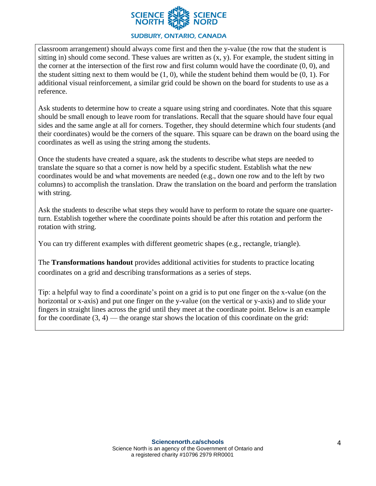

classroom arrangement) should always come first and then the y-value (the row that the student is sitting in) should come second. These values are written as (x, y). For example, the student sitting in the corner at the intersection of the first row and first column would have the coordinate (0, 0), and the student sitting next to them would be  $(1, 0)$ , while the student behind them would be  $(0, 1)$ . For additional visual reinforcement, a similar grid could be shown on the board for students to use as a reference.

Ask students to determine how to create a square using string and coordinates. Note that this square should be small enough to leave room for translations. Recall that the square should have four equal sides and the same angle at all for corners. Together, they should determine which four students (and their coordinates) would be the corners of the square. This square can be drawn on the board using the coordinates as well as using the string among the students.

Once the students have created a square, ask the students to describe what steps are needed to translate the square so that a corner is now held by a specific student. Establish what the new coordinates would be and what movements are needed (e.g., down one row and to the left by two columns) to accomplish the translation. Draw the translation on the board and perform the translation with string.

Ask the students to describe what steps they would have to perform to rotate the square one quarterturn. Establish together where the coordinate points should be after this rotation and perform the rotation with string.

You can try different examples with different geometric shapes (e.g., rectangle, triangle).

The **Transformations handout** provides additional activities for students to practice locating coordinates on a grid and describing transformations as a series of steps.

Tip: a helpful way to find a coordinate's point on a grid is to put one finger on the x-value (on the horizontal or x-axis) and put one finger on the y-value (on the vertical or y-axis) and to slide your fingers in straight lines across the grid until they meet at the coordinate point. Below is an example for the coordinate  $(3, 4)$  — the orange star shows the location of this coordinate on the grid: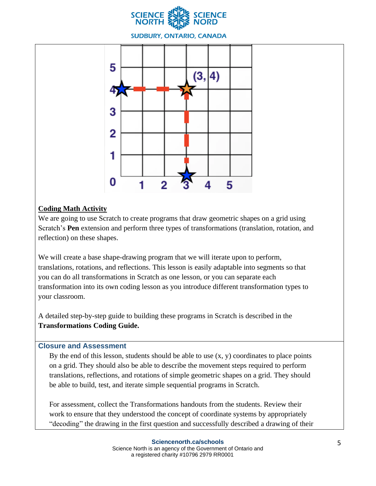



### **Coding Math Activity**

We are going to use Scratch to create programs that draw geometric shapes on a grid using Scratch's **Pen** extension and perform three types of transformations (translation, rotation, and reflection) on these shapes.

We will create a base shape-drawing program that we will iterate upon to perform, translations, rotations, and reflections. This lesson is easily adaptable into segments so that you can do all transformations in Scratch as one lesson, or you can separate each transformation into its own coding lesson as you introduce different transformation types to your classroom.

A detailed step-by-step guide to building these programs in Scratch is described in the **Transformations Coding Guide.**

### **Closure and Assessment**

By the end of this lesson, students should be able to use  $(x, y)$  coordinates to place points on a grid. They should also be able to describe the movement steps required to perform translations, reflections, and rotations of simple geometric shapes on a grid. They should be able to build, test, and iterate simple sequential programs in Scratch.

For assessment, collect the Transformations handouts from the students. Review their work to ensure that they understood the concept of coordinate systems by appropriately "decoding" the drawing in the first question and successfully described a drawing of their